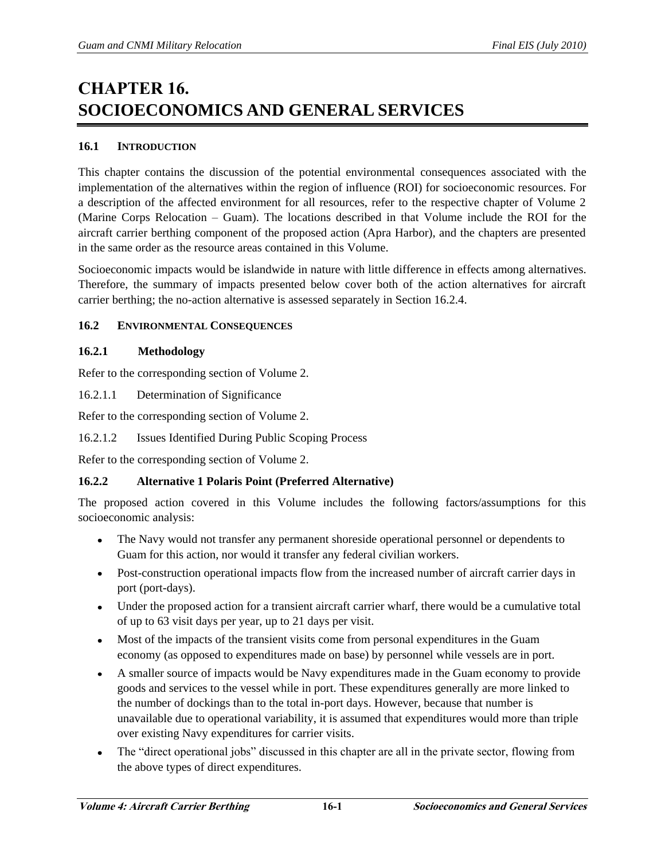# **CHAPTER 16. SOCIOECONOMICS AND GENERAL SERVICES**

# **16.1 INTRODUCTION**

This chapter contains the discussion of the potential environmental consequences associated with the implementation of the alternatives within the region of influence (ROI) for socioeconomic resources. For a description of the affected environment for all resources, refer to the respective chapter of Volume 2 (Marine Corps Relocation – Guam). The locations described in that Volume include the ROI for the aircraft carrier berthing component of the proposed action (Apra Harbor), and the chapters are presented in the same order as the resource areas contained in this Volume.

Socioeconomic impacts would be islandwide in nature with little difference in effects among alternatives. Therefore, the summary of impacts presented below cover both of the action alternatives for aircraft carrier berthing; the no-action alternative is assessed separately in Section 16.2.4.

# **16.2 ENVIRONMENTAL CONSEQUENCES**

# **16.2.1 Methodology**

Refer to the corresponding section of Volume 2.

16.2.1.1 Determination of Significance

Refer to the corresponding section of Volume 2.

# 16.2.1.2 Issues Identified During Public Scoping Process

Refer to the corresponding section of Volume 2.

# **16.2.2 Alternative 1 Polaris Point (Preferred Alternative)**

The proposed action covered in this Volume includes the following factors/assumptions for this socioeconomic analysis:

- $\bullet$ The Navy would not transfer any permanent shoreside operational personnel or dependents to Guam for this action, nor would it transfer any federal civilian workers.
- Post-construction operational impacts flow from the increased number of aircraft carrier days in port (port-days).
- Under the proposed action for a transient aircraft carrier wharf, there would be a cumulative total of up to 63 visit days per year, up to 21 days per visit.
- Most of the impacts of the transient visits come from personal expenditures in the Guam economy (as opposed to expenditures made on base) by personnel while vessels are in port.
- A smaller source of impacts would be Navy expenditures made in the Guam economy to provide  $\bullet$ goods and services to the vessel while in port. These expenditures generally are more linked to the number of dockings than to the total in-port days. However, because that number is unavailable due to operational variability, it is assumed that expenditures would more than triple over existing Navy expenditures for carrier visits.
- The "direct operational jobs" discussed in this chapter are all in the private sector, flowing from  $\bullet$ the above types of direct expenditures.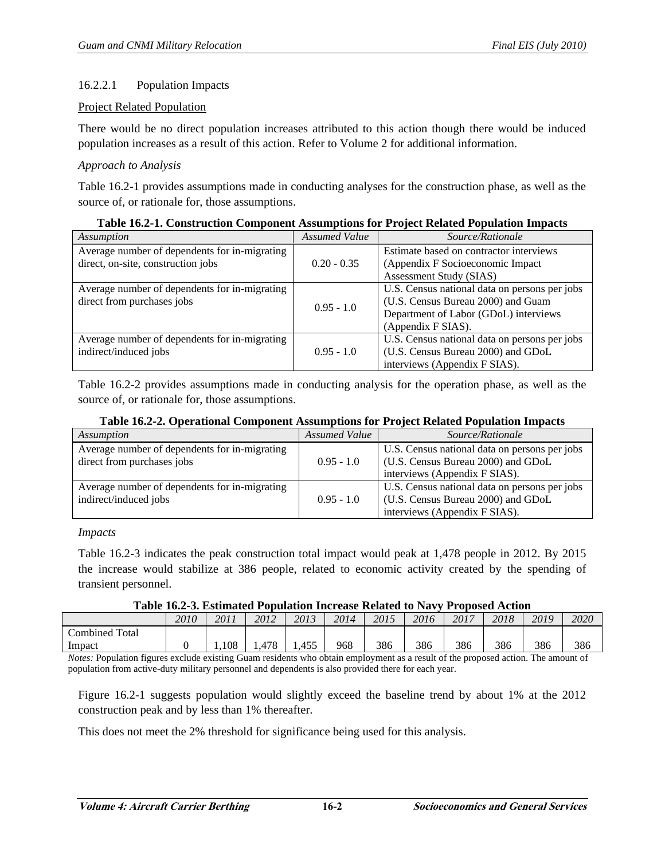# 16.2.2.1 Population Impacts

#### Project Related Population

There would be no direct population increases attributed to this action though there would be induced population increases as a result of this action. Refer to Volume 2 for additional information.

#### *Approach to Analysis*

Table 16.2-1 provides assumptions made in conducting analyses for the construction phase, as well as the source of, or rationale for, those assumptions.

| Assumption                                    | Assumed Value | Source/Rationale                              |
|-----------------------------------------------|---------------|-----------------------------------------------|
| Average number of dependents for in-migrating |               | Estimate based on contractor interviews       |
| direct, on-site, construction jobs            | $0.20 - 0.35$ | (Appendix F Socioeconomic Impact              |
|                                               |               | Assessment Study (SIAS)                       |
| Average number of dependents for in-migrating |               | U.S. Census national data on persons per jobs |
| direct from purchases jobs                    | $0.95 - 1.0$  | (U.S. Census Bureau 2000) and Guam            |
|                                               |               | Department of Labor (GDoL) interviews         |
|                                               |               | (Appendix F SIAS).                            |
| Average number of dependents for in-migrating |               | U.S. Census national data on persons per jobs |
| indirect/induced jobs                         | $0.95 - 1.0$  | (U.S. Census Bureau 2000) and GDoL            |
|                                               |               | interviews (Appendix F SIAS).                 |

**Table 16.2-1. Construction Component Assumptions for Project Related Population Impacts** 

Table 16.2-2 provides assumptions made in conducting analysis for the operation phase, as well as the source of, or rationale for, those assumptions.

|  |  | Table 16.2-2. Operational Component Assumptions for Project Related Population Impacts |
|--|--|----------------------------------------------------------------------------------------|
|  |  |                                                                                        |

| Assumption                                                                  | Assumed Value | Source/Rationale                                                                                                     |
|-----------------------------------------------------------------------------|---------------|----------------------------------------------------------------------------------------------------------------------|
| Average number of dependents for in-migrating<br>direct from purchases jobs | $0.95 - 1.0$  | U.S. Census national data on persons per jobs<br>(U.S. Census Bureau 2000) and GDoL<br>interviews (Appendix F SIAS). |
| Average number of dependents for in-migrating<br>indirect/induced jobs      | $0.95 - 1.0$  | U.S. Census national data on persons per jobs<br>(U.S. Census Bureau 2000) and GDoL<br>interviews (Appendix F SIAS). |

*Impacts* 

Table 16.2-3 indicates the peak construction total impact would peak at 1,478 people in 2012. By 2015 the increase would stabilize at 386 people, related to economic activity created by the spending of transient personnel.

**Table 16.2-3. Estimated Population Increase Related to Navy Proposed Action** 

|                       | 2010 | 2011  | 2012 | 2013 | 2014 | 2015 | 2016 | 2017 | 2018 | 2019 | 2020 |
|-----------------------|------|-------|------|------|------|------|------|------|------|------|------|
| <b>Combined Total</b> |      |       |      |      |      |      |      |      |      |      |      |
| Impact                |      | 1.108 | ,478 | ,455 | 968  | 386  | 386  | 386  | 386  | 386  | 386  |

*Notes:* Population figures exclude existing Guam residents who obtain employment as a result of the proposed action. The amount of population from active-duty military personnel and dependents is also provided there for each year.

Figure 16.2-1 suggests population would slightly exceed the baseline trend by about 1% at the 2012 construction peak and by less than 1% thereafter.

This does not meet the 2% threshold for significance being used for this analysis.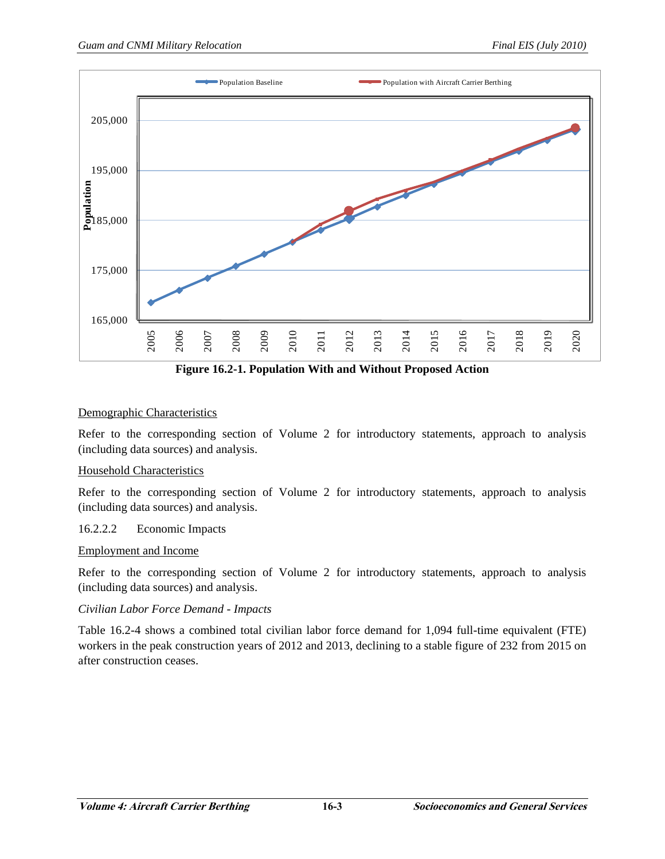

**Figure 16.2-1. Population With and Without Proposed Action** 

# Demographic Characteristics

Refer to the corresponding section of Volume 2 for introductory statements, approach to analysis (including data sources) and analysis.

# Household Characteristics

Refer to the corresponding section of Volume 2 for introductory statements, approach to analysis (including data sources) and analysis.

#### 16.2.2.2 Economic Impacts

#### Employment and Income

Refer to the corresponding section of Volume 2 for introductory statements, approach to analysis (including data sources) and analysis.

# *Civilian Labor Force Demand - Impacts*

Table 16.2-4 shows a combined total civilian labor force demand for 1,094 full-time equivalent (FTE) workers in the peak construction years of 2012 and 2013, declining to a stable figure of 232 from 2015 on after construction ceases.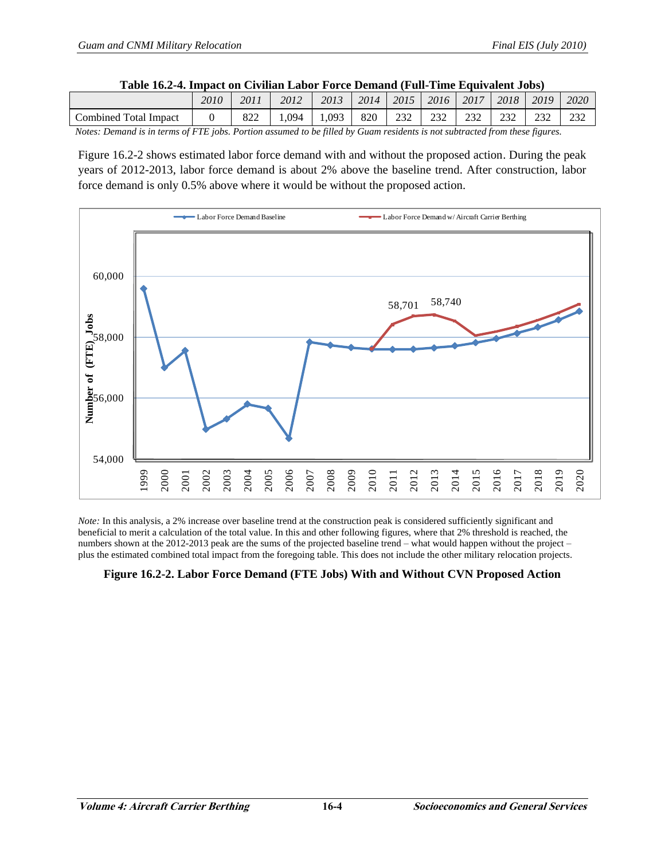| Table 16.2-4. Impact on Civilian Labor Force Demand (Full-Time Equivalent Jobs) |      |      |      |      |      |      |      |      |      |      |      |
|---------------------------------------------------------------------------------|------|------|------|------|------|------|------|------|------|------|------|
|                                                                                 | 2010 | 2011 | 2012 | 2013 | 2014 | 2015 | 2016 | 2017 | 2018 | 2019 | 2020 |
| <b>Combined Total Impact</b>                                                    |      | 822  | .094 | .093 | 820  | 232  |      |      |      |      |      |

#### **Table 16.2-4. Impact on Civilian Labor Force Demand (Full-Time Equivalent Jobs)**

*Notes: Demand is in terms of FTE jobs. Portion assumed to be filled by Guam residents is not subtracted from these figures.* 

Figure 16.2-2 shows estimated labor force demand with and without the proposed action. During the peak years of 2012-2013, labor force demand is about 2% above the baseline trend. After construction, labor force demand is only 0.5% above where it would be without the proposed action.



*Note:* In this analysis, a 2% increase over baseline trend at the construction peak is considered sufficiently significant and beneficial to merit a calculation of the total value. In this and other following figures, where that 2% threshold is reached, the numbers shown at the 2012-2013 peak are the sums of the projected baseline trend – what would happen without the project – plus the estimated combined total impact from the foregoing table. This does not include the other military relocation projects.

# **Figure 16.2-2. Labor Force Demand (FTE Jobs) With and Without CVN Proposed Action**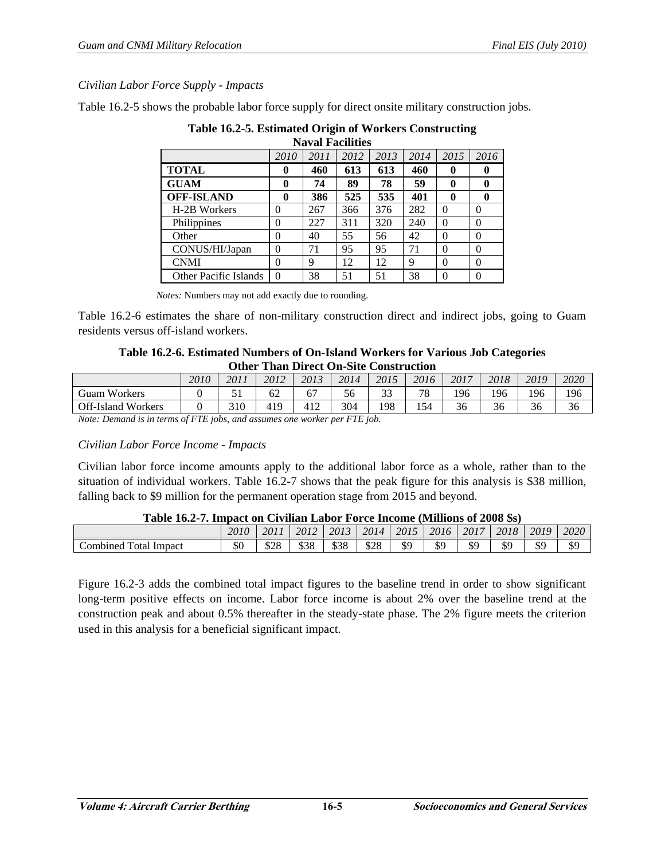# *Civilian Labor Force Supply - Impacts*

Table 16.2-5 shows the probable labor force supply for direct onsite military construction jobs.

|                              |          |      | <b>Naval Facilities</b> |      |      |              |          |
|------------------------------|----------|------|-------------------------|------|------|--------------|----------|
|                              | 2010     | 2011 | 2012                    | 2013 | 2014 | 2015         | 2016     |
| <b>TOTAL</b>                 | 0        | 460  | 613                     | 613  | 460  | $\mathbf{0}$ |          |
| <b>GUAM</b>                  | 0        | 74   | 89                      | 78   | 59   | 0            |          |
| <b>OFF-ISLAND</b>            | 0        | 386  | 525                     | 535  | 401  | 0            |          |
| H-2B Workers                 | 0        | 267  | 366                     | 376  | 282  | $\theta$     | $\Omega$ |
| Philippines                  | 0        | 227  | 311                     | 320  | 240  | $\theta$     | $\Omega$ |
| Other                        | 0        | 40   | 55                      | 56   | 42   | $\theta$     | $\Omega$ |
| CONUS/HI/Japan               | $\Omega$ | 71   | 95                      | 95   | 71   | $\theta$     | $\Omega$ |
| <b>CNMI</b>                  | 0        | 9    | 12                      | 12   | 9    | $\theta$     | $\Omega$ |
| <b>Other Pacific Islands</b> | $\Omega$ | 38   | 51                      | 51   | 38   | $\theta$     | 0        |

# **Table 16.2-5. Estimated Origin of Workers Constructing**

*Notes:* Numbers may not add exactly due to rounding.

Table 16.2-6 estimates the share of non-military construction direct and indirect jobs, going to Guam residents versus off-island workers.

#### **Table 16.2-6. Estimated Numbers of On-Island Workers for Various Job Categories Other Than Direct On-Site Construction**

|                                     |      | -------- | ------------     |                     | -----<br>-------                          |               | ------------------ |      |              |      |      |
|-------------------------------------|------|----------|------------------|---------------------|-------------------------------------------|---------------|--------------------|------|--------------|------|------|
|                                     | 2010 | 2011     | 2012             | 2013                | 2014                                      | 2015          | 2016               | 2017 | 2018         | 2019 | 2020 |
| Workers<br>Guam                     |      |          | $\epsilon$<br>ΟZ | 67                  | 56                                        | $\sim$<br>ر ر | 78                 | 196  | 196          | 196  | 196  |
| <b>Off-Island Workers</b>           |      | 310      | 419              | $41^\circ$<br>т ⊥ ∠ | 304                                       | 198           | 154                | 36   | $\sim$<br>36 | 36   | 36   |
| $\sim$ $\sim$<br>$\sim$<br>$\cdots$ |      |          |                  |                     | $\sim$ $\sim$ $\sim$ $\sim$ $\sim$ $\sim$ |               |                    |      |              |      |      |

*Note: Demand is in terms of FTE jobs, and assumes one worker per FTE job.*

# *Civilian Labor Force Income - Impacts*

Civilian labor force income amounts apply to the additional labor force as a whole, rather than to the situation of individual workers. Table 16.2-7 shows that the peak figure for this analysis is \$38 million, falling back to \$9 million for the permanent operation stage from 2015 and beyond.

#### **Table 16.2-7. Impact on Civilian Labor Force Income (Millions of 2008 \$s)**

|                                 | 2010             | 2011       | 2012       | 2013 | 2014       | 2015 | 2016 | $\angle 2017$ | 2018 | 2019 | 2020 |
|---------------------------------|------------------|------------|------------|------|------------|------|------|---------------|------|------|------|
| œ<br>Impact<br>Combined<br>otal | ሶ $\Gamma$<br>JО | ፍንՋ<br>0∠0 | coo<br>ააა | \$38 | 000<br>ക∠റ | \$9  | \$S  | \$9           | \$9  | \$9  | \$9  |

Figure 16.2-3 adds the combined total impact figures to the baseline trend in order to show significant long-term positive effects on income. Labor force income is about 2% over the baseline trend at the construction peak and about 0.5% thereafter in the steady-state phase. The 2% figure meets the criterion used in this analysis for a beneficial significant impact.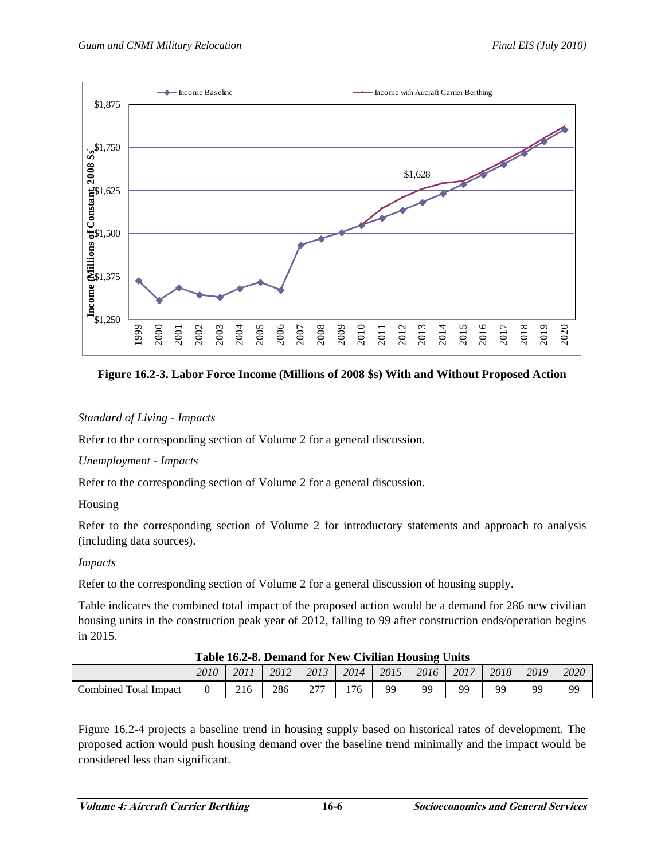

**Figure 16.2-3. Labor Force Income (Millions of 2008 \$s) With and Without Proposed Action** 

# *Standard of Living - Impacts*

Refer to the corresponding section of Volume 2 for a general discussion.

# *Unemployment - Impacts*

Refer to the corresponding section of Volume 2 for a general discussion.

# **Housing**

Refer to the corresponding section of Volume 2 for introductory statements and approach to analysis (including data sources).

# *Impacts*

Refer to the corresponding section of Volume 2 for a general discussion of housing supply.

Table indicates the combined total impact of the proposed action would be a demand for 286 new civilian housing units in the construction peak year of 2012, falling to 99 after construction ends/operation begins in 2015.

| Table 10.2-0. Demand for frew Civilian Housing Omis |      |      |      |           |      |      |      |      |      |      |      |
|-----------------------------------------------------|------|------|------|-----------|------|------|------|------|------|------|------|
|                                                     | 2010 | 2011 | 2012 | 2013      | 2014 | 2015 | 2016 | 2017 | 2018 | 2019 | 2020 |
| Combined Total Impact                               |      | 216  | 286  | ריר<br>∠≀ | 176  | 99   | QQ   | QQ   | QQ   | o٥   | 99   |

#### **Table 16.2-8. Demand for New Civilian Housing Units**

Figure 16.2-4 projects a baseline trend in housing supply based on historical rates of development. The proposed action would push housing demand over the baseline trend minimally and the impact would be considered less than significant.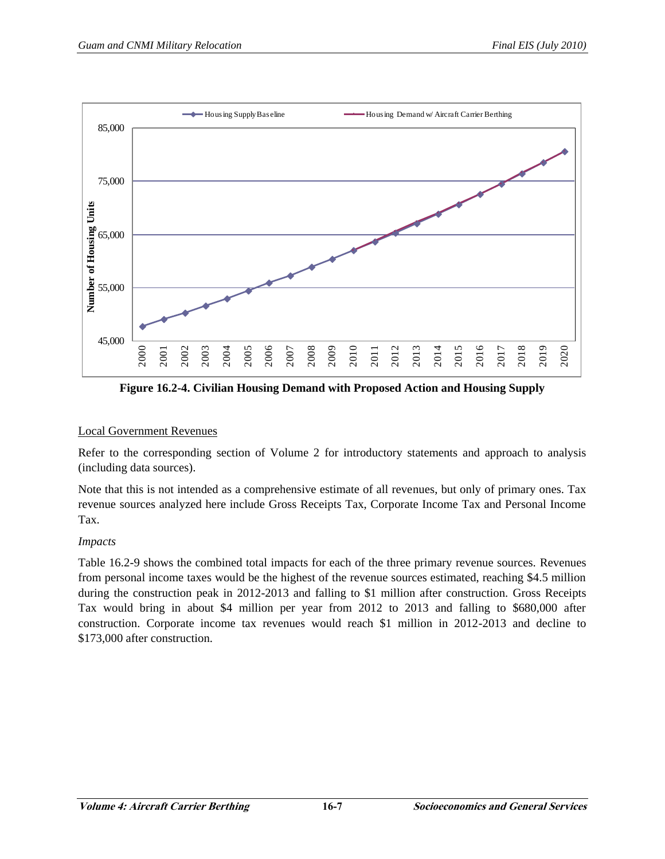

**Figure 16.2-4. Civilian Housing Demand with Proposed Action and Housing Supply** 

# Local Government Revenues

Refer to the corresponding section of Volume 2 for introductory statements and approach to analysis (including data sources).

Note that this is not intended as a comprehensive estimate of all revenues, but only of primary ones. Tax revenue sources analyzed here include Gross Receipts Tax, Corporate Income Tax and Personal Income Tax.

# *Impacts*

Table 16.2-9 shows the combined total impacts for each of the three primary revenue sources. Revenues from personal income taxes would be the highest of the revenue sources estimated, reaching \$4.5 million during the construction peak in 2012-2013 and falling to \$1 million after construction. Gross Receipts Tax would bring in about \$4 million per year from 2012 to 2013 and falling to \$680,000 after construction. Corporate income tax revenues would reach \$1 million in 2012-2013 and decline to \$173,000 after construction.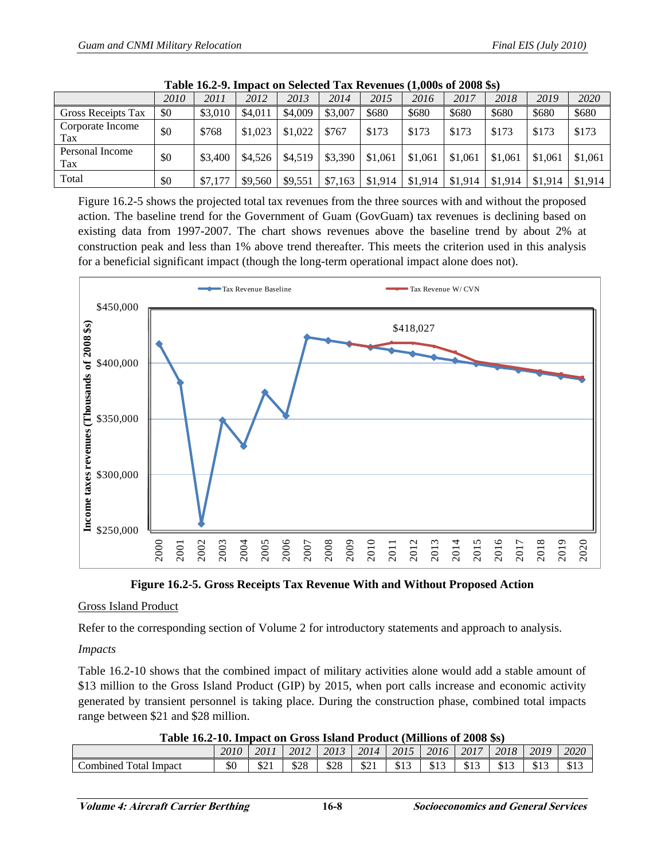| , _, , , , , _ , _ , , _ , _ , _ |      |         |         |         |         |         |         |         |         |         |         |
|----------------------------------|------|---------|---------|---------|---------|---------|---------|---------|---------|---------|---------|
|                                  | 2010 | 2011    | 2012    | 2013    | 2014    | 2015    | 2016    | 2017    | 2018    | 2019    | 2020    |
| <b>Gross Receipts Tax</b>        | \$0  | \$3,010 | \$4,011 | \$4,009 | \$3,007 | \$680   | \$680   | \$680   | \$680   | \$680   | \$680   |
| Corporate Income<br>Tax          | \$0  | \$768   | \$1,023 | \$1,022 | \$767   | \$173   | \$173   | \$173   | \$173   | \$173   | \$173   |
| Personal Income<br>Tax           | \$0  | \$3,400 | \$4,526 | \$4,519 | \$3.390 | \$1,061 | \$1,061 | \$1,061 | \$1,061 | \$1,061 | \$1,061 |
| Total                            | \$0  | \$7,177 | \$9,560 | \$9,551 | \$7,163 | \$1,914 | \$1,914 | \$1,914 | \$1,914 | \$1,914 | \$1,914 |

|  | Table 16.2-9. Impact on Selected Tax Revenues (1,000s of 2008 \$s) |  |
|--|--------------------------------------------------------------------|--|
|--|--------------------------------------------------------------------|--|

Figure 16.2-5 shows the projected total tax revenues from the three sources with and without the proposed action. The baseline trend for the Government of Guam (GovGuam) tax revenues is declining based on existing data from 1997-2007. The chart shows revenues above the baseline trend by about 2% at construction peak and less than 1% above trend thereafter. This meets the criterion used in this analysis for a beneficial significant impact (though the long-term operational impact alone does not).



**Figure 16.2-5. Gross Receipts Tax Revenue With and Without Proposed Action** 

# Gross Island Product

Refer to the corresponding section of Volume 2 for introductory statements and approach to analysis.

# *Impacts*

Table 16.2-10 shows that the combined impact of military activities alone would add a stable amount of \$13 million to the Gross Island Product (GIP) by 2015, when port calls increase and economic activity generated by transient personnel is taking place. During the construction phase, combined total impacts range between \$21 and \$28 million.

| Table 16.2-10. Impact on Gross Island Product (Millions of 2008 \$s) |  |  |  |
|----------------------------------------------------------------------|--|--|--|
|                                                                      |  |  |  |

| A WAXAY AYIM AYI AMMADO YA YA YAN AMMAMA A AYO WAYYI MAMMAMA YA MUVU WA I |      |                   |      |      |                             |            |      |       |              |               |      |
|---------------------------------------------------------------------------|------|-------------------|------|------|-----------------------------|------------|------|-------|--------------|---------------|------|
|                                                                           | 2010 | 2011              | 2012 | 2013 | 2014                        | 2015       | 2016 | 2017  | 2018         | 2019          | 2020 |
| <b>Total Impact</b><br>combined                                           | \$0  | <b>ሮኅ1</b><br>0/1 | \$28 | \$28 | <u>ሮ ኅ</u> 1<br>$D_{\perp}$ | 012<br>σIJ | \$13 | J 1 J | 0.12<br>91 J | ሰ1 ኅ<br>ن 1 ب | \$13 |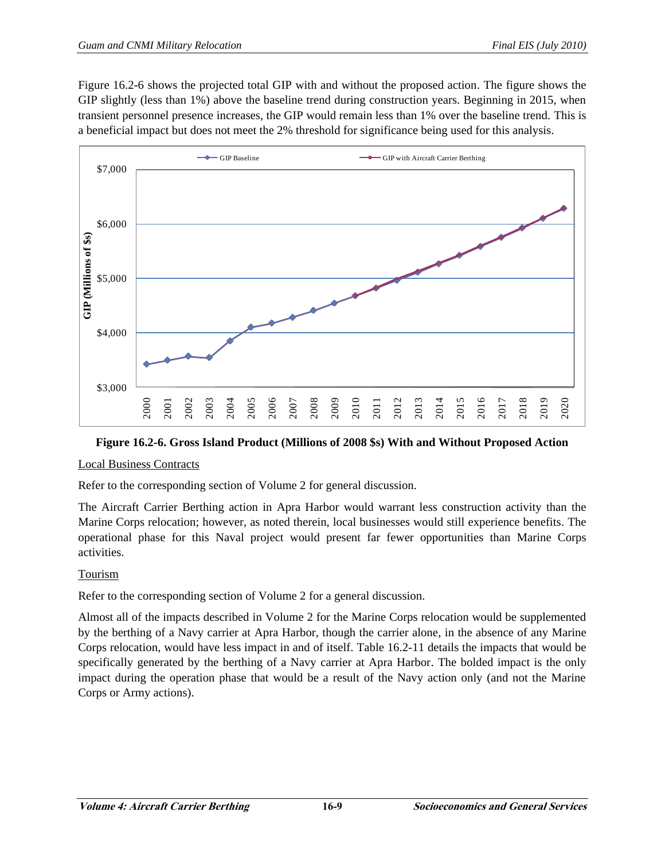Figure 16.2-6 shows the projected total GIP with and without the proposed action. The figure shows the GIP slightly (less than 1%) above the baseline trend during construction years. Beginning in 2015, when transient personnel presence increases, the GIP would remain less than 1% over the baseline trend. This is a beneficial impact but does not meet the 2% threshold for significance being used for this analysis.



# **Figure 16.2-6. Gross Island Product (Millions of 2008 \$s) With and Without Proposed Action**

# Local Business Contracts

Refer to the corresponding section of Volume 2 for general discussion.

The Aircraft Carrier Berthing action in Apra Harbor would warrant less construction activity than the Marine Corps relocation; however, as noted therein, local businesses would still experience benefits. The operational phase for this Naval project would present far fewer opportunities than Marine Corps activities.

# Tourism

Refer to the corresponding section of Volume 2 for a general discussion.

Almost all of the impacts described in Volume 2 for the Marine Corps relocation would be supplemented by the berthing of a Navy carrier at Apra Harbor, though the carrier alone, in the absence of any Marine Corps relocation, would have less impact in and of itself. Table 16.2-11 details the impacts that would be specifically generated by the berthing of a Navy carrier at Apra Harbor. The bolded impact is the only impact during the operation phase that would be a result of the Navy action only (and not the Marine Corps or Army actions).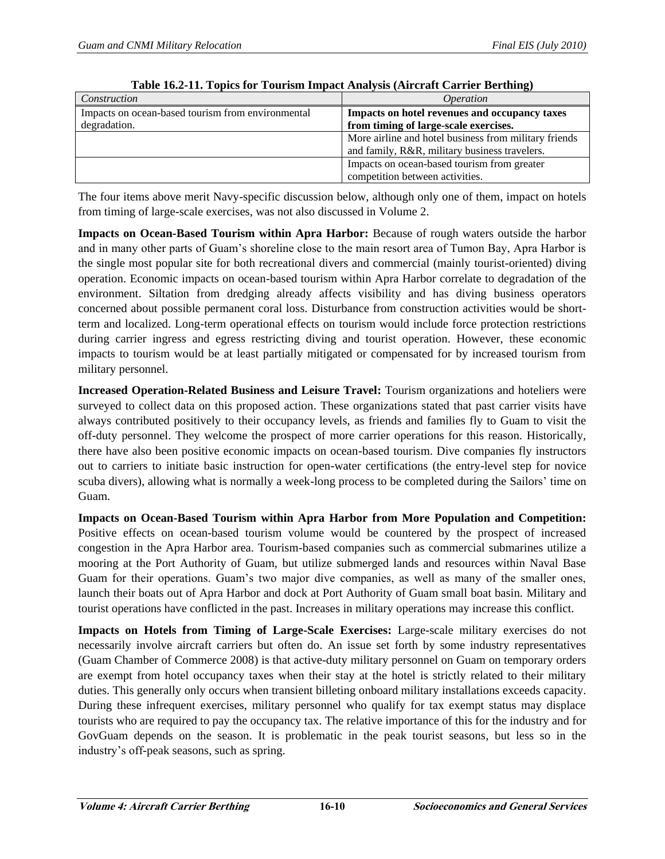| Construction                                      | <i>Operation</i>                                      |
|---------------------------------------------------|-------------------------------------------------------|
| Impacts on ocean-based tourism from environmental | Impacts on hotel revenues and occupancy taxes         |
| degradation.                                      | from timing of large-scale exercises.                 |
|                                                   | More airline and hotel business from military friends |
|                                                   | and family, R&R, military business travelers.         |
|                                                   | Impacts on ocean-based tourism from greater           |
|                                                   | competition between activities.                       |

|  |  | Table 16.2-11. Topics for Tourism Impact Analysis (Aircraft Carrier Berthing) |
|--|--|-------------------------------------------------------------------------------|
|  |  |                                                                               |

The four items above merit Navy-specific discussion below, although only one of them, impact on hotels from timing of large-scale exercises, was not also discussed in Volume 2.

**Impacts on Ocean-Based Tourism within Apra Harbor:** Because of rough waters outside the harbor and in many other parts of Guam's shoreline close to the main resort area of Tumon Bay, Apra Harbor is the single most popular site for both recreational divers and commercial (mainly tourist-oriented) diving operation. Economic impacts on ocean-based tourism within Apra Harbor correlate to degradation of the environment. Siltation from dredging already affects visibility and has diving business operators concerned about possible permanent coral loss. Disturbance from construction activities would be shortterm and localized. Long-term operational effects on tourism would include force protection restrictions during carrier ingress and egress restricting diving and tourist operation. However, these economic impacts to tourism would be at least partially mitigated or compensated for by increased tourism from military personnel.

**Increased Operation-Related Business and Leisure Travel:** Tourism organizations and hoteliers were surveyed to collect data on this proposed action. These organizations stated that past carrier visits have always contributed positively to their occupancy levels, as friends and families fly to Guam to visit the off-duty personnel. They welcome the prospect of more carrier operations for this reason. Historically, there have also been positive economic impacts on ocean-based tourism. Dive companies fly instructors out to carriers to initiate basic instruction for open-water certifications (the entry-level step for novice scuba divers), allowing what is normally a week-long process to be completed during the Sailors' time on Guam.

**Impacts on Ocean-Based Tourism within Apra Harbor from More Population and Competition:**  Positive effects on ocean-based tourism volume would be countered by the prospect of increased congestion in the Apra Harbor area. Tourism-based companies such as commercial submarines utilize a mooring at the Port Authority of Guam, but utilize submerged lands and resources within Naval Base Guam for their operations. Guam's two major dive companies, as well as many of the smaller ones, launch their boats out of Apra Harbor and dock at Port Authority of Guam small boat basin. Military and tourist operations have conflicted in the past. Increases in military operations may increase this conflict.

**Impacts on Hotels from Timing of Large-Scale Exercises:** Large-scale military exercises do not necessarily involve aircraft carriers but often do. An issue set forth by some industry representatives (Guam Chamber of Commerce 2008) is that active-duty military personnel on Guam on temporary orders are exempt from hotel occupancy taxes when their stay at the hotel is strictly related to their military duties. This generally only occurs when transient billeting onboard military installations exceeds capacity. During these infrequent exercises, military personnel who qualify for tax exempt status may displace tourists who are required to pay the occupancy tax. The relative importance of this for the industry and for GovGuam depends on the season. It is problematic in the peak tourist seasons, but less so in the industry's off-peak seasons, such as spring.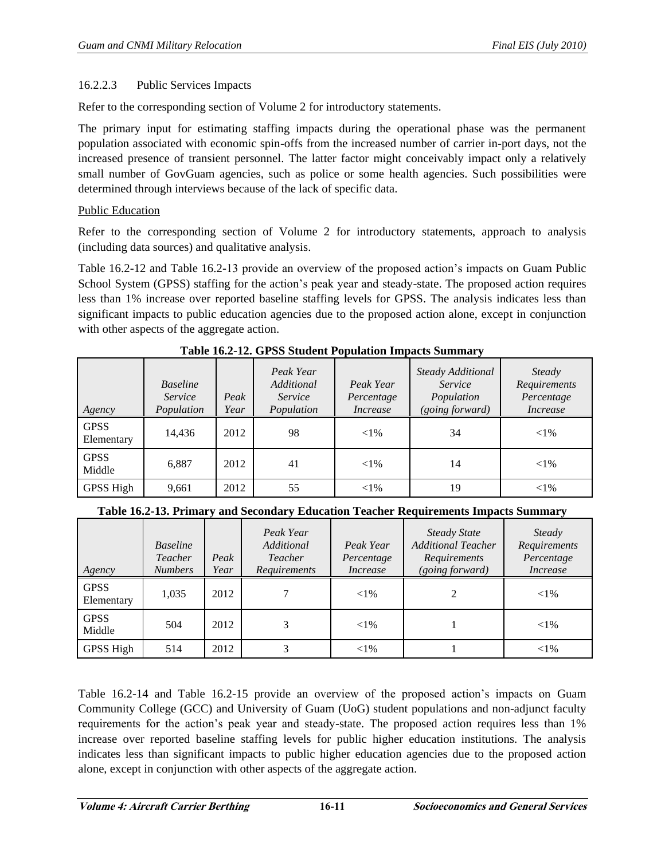# 16.2.2.3 Public Services Impacts

Refer to the corresponding section of Volume 2 for introductory statements.

The primary input for estimating staffing impacts during the operational phase was the permanent population associated with economic spin-offs from the increased number of carrier in-port days, not the increased presence of transient personnel. The latter factor might conceivably impact only a relatively small number of GovGuam agencies, such as police or some health agencies. Such possibilities were determined through interviews because of the lack of specific data.

#### Public Education

Refer to the corresponding section of Volume 2 for introductory statements, approach to analysis (including data sources) and qualitative analysis.

Table 16.2-12 and Table 16.2-13 provide an overview of the proposed action's impacts on Guam Public School System (GPSS) staffing for the action's peak year and steady-state. The proposed action requires less than 1% increase over reported baseline staffing levels for GPSS. The analysis indicates less than significant impacts to public education agencies due to the proposed action alone, except in conjunction with other aspects of the aggregate action.

|                           |                                          |              | Peak Year<br>Additional |                                     | Steady Additional                        | Steady                                        |
|---------------------------|------------------------------------------|--------------|-------------------------|-------------------------------------|------------------------------------------|-----------------------------------------------|
| Agency                    | <b>Baseline</b><br>Service<br>Population | Peak<br>Year | Service<br>Population   | Peak Year<br>Percentage<br>Increase | Service<br>Population<br>(going forward) | Requirements<br>Percentage<br><i>Increase</i> |
| <b>GPSS</b><br>Elementary | 14,436                                   | 2012         | 98                      | ${<}1\%$                            | 34                                       | ${<}1\%$                                      |
| <b>GPSS</b><br>Middle     | 6,887                                    | 2012         | 41                      | ${<}1\%$                            | 14                                       | ${<}1\%$                                      |
| GPSS High                 | 9,661                                    | 2012         | 55                      | ${<}1\%$                            | 19                                       | $<$ 1%                                        |

**Table 16.2-12. GPSS Student Population Impacts Summary** 

| Table 16.2-13. Primary and Secondary Education Teacher Requirements Impacts Summary |  |
|-------------------------------------------------------------------------------------|--|
|-------------------------------------------------------------------------------------|--|

| Agency                    | <b>Baseline</b><br>Teacher<br><b>Numbers</b> | Peak<br>Year | Peak Year<br>Additional<br>Teacher<br><b>Requirements</b> | Peak Year<br>Percentage<br>Increase | <b>Steady State</b><br><b>Additional Teacher</b><br>Requirements<br>(going forward) | Steady<br>Requirements<br>Percentage<br><i>Increase</i> |
|---------------------------|----------------------------------------------|--------------|-----------------------------------------------------------|-------------------------------------|-------------------------------------------------------------------------------------|---------------------------------------------------------|
| <b>GPSS</b><br>Elementary | 1,035                                        | 2012         |                                                           | ${<}1\%$                            |                                                                                     | ${<}1\%$                                                |
| <b>GPSS</b><br>Middle     | 504                                          | 2012         | 3                                                         | ${<}1\%$                            |                                                                                     | ${<}1\%$                                                |
| GPSS High                 | 514                                          | 2012         | 3                                                         | ${<}1\%$                            |                                                                                     | ${<}1\%$                                                |

Table 16.2-14 and Table 16.2-15 provide an overview of the proposed action's impacts on Guam Community College (GCC) and University of Guam (UoG) student populations and non-adjunct faculty requirements for the action's peak year and steady-state. The proposed action requires less than 1% increase over reported baseline staffing levels for public higher education institutions. The analysis indicates less than significant impacts to public higher education agencies due to the proposed action alone, except in conjunction with other aspects of the aggregate action.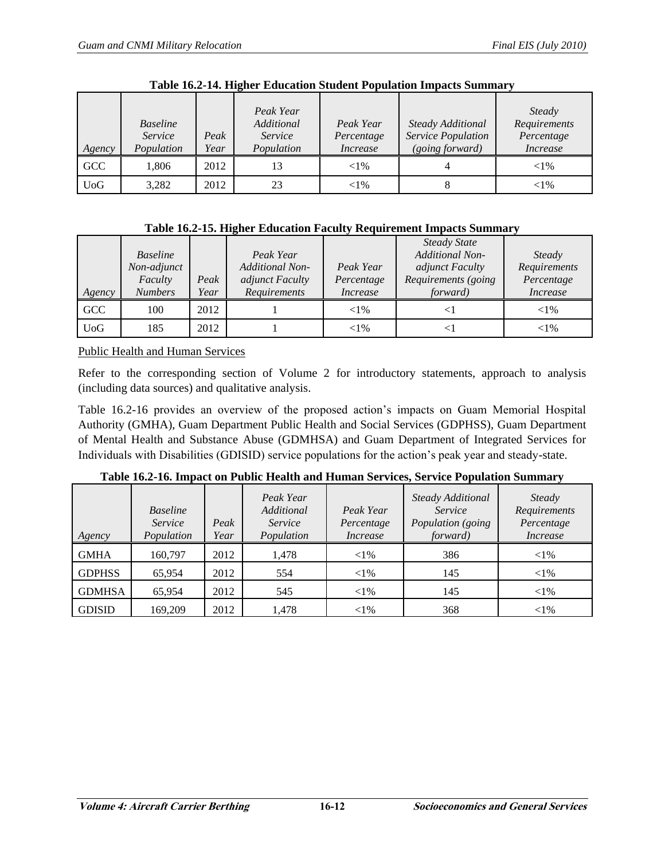| Agency           | <b>Baseline</b><br>Service<br>Population | Peak<br>Year | Peak Year<br>Additional<br>Service<br>Population | Peak Year<br>Percentage<br><i>Increase</i> | Steady Additional<br>Service Population<br>(going forward) | <b>Steady</b><br>Requirements<br>Percentage<br><i>Increase</i> |
|------------------|------------------------------------------|--------------|--------------------------------------------------|--------------------------------------------|------------------------------------------------------------|----------------------------------------------------------------|
| GCC              | .806                                     | 2012         | 13                                               | ${<}1\%$                                   |                                                            | ${<}1\%$                                                       |
| U <sub>0</sub> G | 3,282                                    | 2012         | 23                                               | ${<}1\%$                                   |                                                            | ${<}1\%$                                                       |

**Table 16.2-14. Higher Education Student Population Impacts Summary** 

| Table 16.2-15. Higher Education Faculty Requirement Impacts Summary |  |  |
|---------------------------------------------------------------------|--|--|
|                                                                     |  |  |

|            |                 |      |                        |                 | <b>Steady State</b>    |                 |
|------------|-----------------|------|------------------------|-----------------|------------------------|-----------------|
|            | <b>Baseline</b> |      | Peak Year              |                 | <b>Additional Non-</b> | Steady          |
|            | Non-adjunct     |      | <b>Additional Non-</b> | Peak Year       | adjunct Faculty        | Requirements    |
|            | Faculty         | Peak | adjunct Faculty        | Percentage      | Requirements (going    | Percentage      |
| Agency     | <b>Numbers</b>  | Year | Requirements           | <i>Increase</i> | <i>forward</i> )       | <i>Increase</i> |
| GCC        | 100             | 2012 |                        | ${<}1\%$        | $\leq$ 1               | ${<}1\%$        |
| <b>UoG</b> | 185             | 2012 |                        | ${<}1\%$        | ◁                      | ${<}1\%$        |

Public Health and Human Services

Refer to the corresponding section of Volume 2 for introductory statements, approach to analysis (including data sources) and qualitative analysis.

Table 16.2-16 provides an overview of the proposed action's impacts on Guam Memorial Hospital Authority (GMHA), Guam Department Public Health and Social Services (GDPHSS), Guam Department of Mental Health and Substance Abuse (GDMHSA) and Guam Department of Integrated Services for Individuals with Disabilities (GDISID) service populations for the action's peak year and steady-state.

| Agency        | <b>Baseline</b><br>Service<br>Population | Peak<br>Year | Peak Year<br>Additional<br>Service<br>Population | Peak Year<br>Percentage<br><i>Increase</i> | Steady Additional<br>Service<br>Population (going<br><i>forward</i> ) | Steady<br>Requirements<br>Percentage<br><i>Increase</i> |
|---------------|------------------------------------------|--------------|--------------------------------------------------|--------------------------------------------|-----------------------------------------------------------------------|---------------------------------------------------------|
| <b>GMHA</b>   | 160,797                                  | 2012         | 1,478                                            | $<$ 1%                                     | 386                                                                   | ${<}1\%$                                                |
| <b>GDPHSS</b> | 65,954                                   | 2012         | 554                                              | $<$ 1%                                     | 145                                                                   | ${<}1\%$                                                |
| <b>GDMHSA</b> | 65,954                                   | 2012         | 545                                              | ${<}1\%$                                   | 145                                                                   | ${<}1\%$                                                |
| <b>GDISID</b> | 169,209                                  | 2012         | 1,478                                            | ${<}1\%$                                   | 368                                                                   | ${<}1\%$                                                |

**Table 16.2-16. Impact on Public Health and Human Services, Service Population Summary**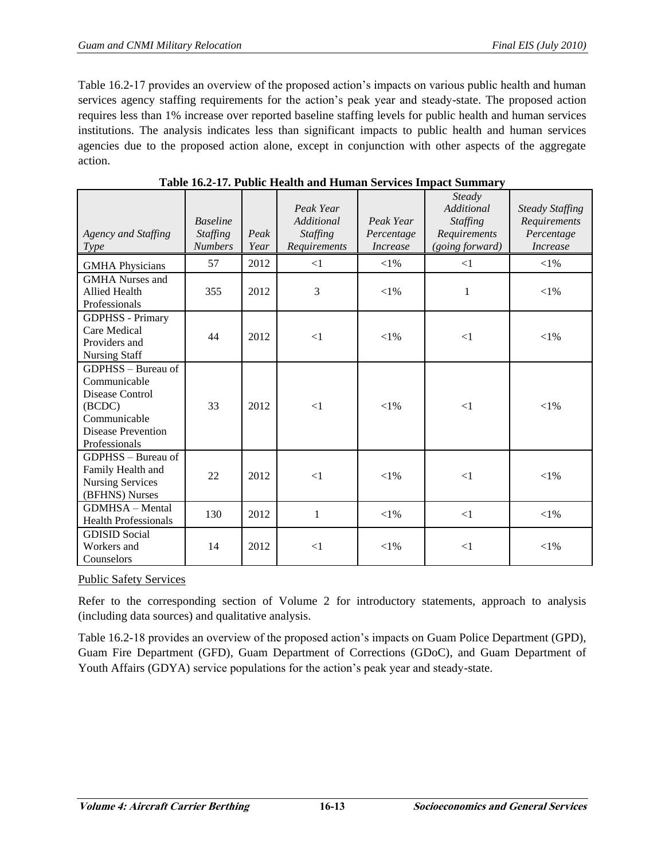Table 16.2-17 provides an overview of the proposed action's impacts on various public health and human services agency staffing requirements for the action's peak year and steady-state. The proposed action requires less than 1% increase over reported baseline staffing levels for public health and human services institutions. The analysis indicates less than significant impacts to public health and human services agencies due to the proposed action alone, except in conjunction with other aspects of the aggregate action.

| Agency and Staffing<br><i>Type</i>                                                                                            | <b>Baseline</b><br><b>Staffing</b><br><b>Numbers</b> | Peak<br>Year | Peak Year<br>Additional<br><b>Staffing</b><br>Requirements | Peak Year<br>Percentage<br><i>Increase</i> | Steady<br>Additional<br><b>Staffing</b><br>Requirements<br>(going forward) | <b>Steady Staffing</b><br>Requirements<br>Percentage<br><b>Increase</b> |
|-------------------------------------------------------------------------------------------------------------------------------|------------------------------------------------------|--------------|------------------------------------------------------------|--------------------------------------------|----------------------------------------------------------------------------|-------------------------------------------------------------------------|
| <b>GMHA Physicians</b>                                                                                                        | 57                                                   | 2012         | $\leq$ 1                                                   | $<$ 1%                                     | $\leq$ 1                                                                   | $<$ 1%                                                                  |
| <b>GMHA</b> Nurses and<br><b>Allied Health</b><br>Professionals                                                               | 355                                                  | 2012         | 3                                                          | ${<}1\%$                                   | 1                                                                          | ${<}1\%$                                                                |
| <b>GDPHSS</b> - Primary<br>Care Medical<br>Providers and<br><b>Nursing Staff</b>                                              | 44                                                   | 2012         | $\leq$ 1                                                   | ${<}1\%$                                   | $\leq$ 1                                                                   | ${<}1\%$                                                                |
| GDPHSS - Bureau of<br>Communicable<br>Disease Control<br>(BCDC)<br>Communicable<br><b>Disease Prevention</b><br>Professionals | 33                                                   | 2012         | $\leq$ 1                                                   | ${<}1\%$                                   | $\leq$ 1                                                                   | ${<}1\%$                                                                |
| GDPHSS – Bureau of<br>Family Health and<br><b>Nursing Services</b><br>(BFHNS) Nurses                                          | 22                                                   | 2012         | $\leq$ 1                                                   | ${<}1\%$                                   | $\leq$ 1                                                                   | $< 1\%$                                                                 |
| <b>GDMHSA</b> - Mental<br><b>Health Professionals</b>                                                                         | 130                                                  | 2012         | 1                                                          | ${<}1\%$                                   | $\leq$ 1                                                                   | $<$ 1%                                                                  |
| <b>GDISID</b> Social<br>Workers and<br>Counselors                                                                             | 14                                                   | 2012         | $\leq$ 1                                                   | ${<}1\%$                                   | $\leq$ 1                                                                   | ${<}1\%$                                                                |

**Table 16.2-17. Public Health and Human Services Impact Summary**

Public Safety Services

Refer to the corresponding section of Volume 2 for introductory statements, approach to analysis (including data sources) and qualitative analysis.

Table 16.2-18 provides an overview of the proposed action's impacts on Guam Police Department (GPD), Guam Fire Department (GFD), Guam Department of Corrections (GDoC), and Guam Department of Youth Affairs (GDYA) service populations for the action's peak year and steady-state.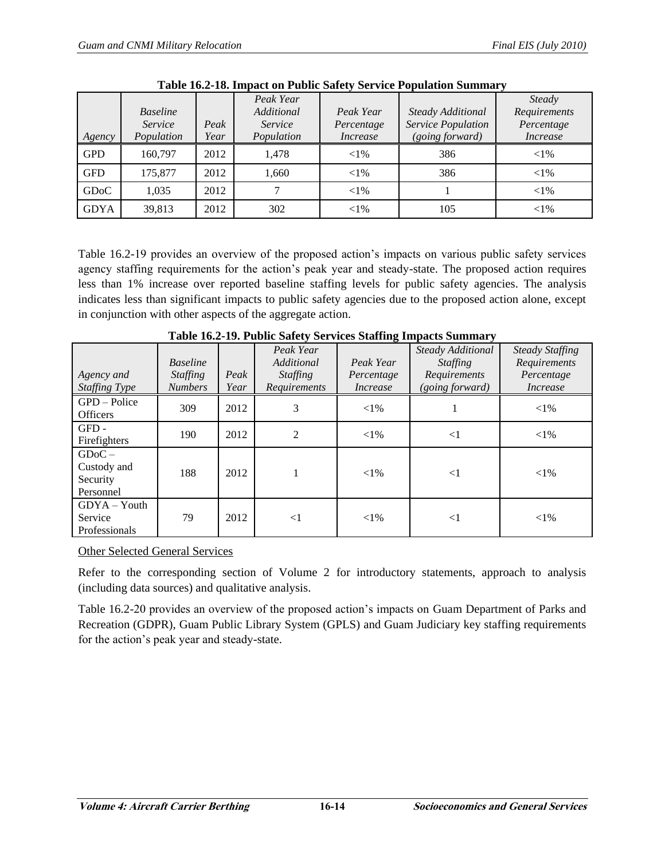|                   |                 |      | Peak Year  |                 |                    | <b>Steady</b>   |
|-------------------|-----------------|------|------------|-----------------|--------------------|-----------------|
|                   | <b>Baseline</b> |      | Additional | Peak Year       | Steady Additional  | Requirements    |
|                   | Service         | Peak | Service    | Percentage      | Service Population | Percentage      |
| Agency            | Population      | Year | Population | <i>Increase</i> | (going forward)    | <i>Increase</i> |
| <b>GPD</b>        | 160.797         | 2012 | 1.478      | ${<}1\%$        | 386                | ${<}1\%$        |
| <b>GFD</b>        | 175,877         | 2012 | 1,660      | ${<}1\%$        | 386                | $<$ 1%          |
| GD <sub>o</sub> C | 1,035           | 2012 |            | ${<}1\%$        |                    | ${<}1\%$        |
| <b>GDYA</b>       | 39,813          | 2012 | 302        | ${<}1\%$        | 105                | ${<}1\%$        |

**Table 16.2-18. Impact on Public Safety Service Population Summary** 

Table 16.2-19 provides an overview of the proposed action's impacts on various public safety services agency staffing requirements for the action's peak year and steady-state. The proposed action requires less than 1% increase over reported baseline staffing levels for public safety agencies. The analysis indicates less than significant impacts to public safety agencies due to the proposed action alone, except in conjunction with other aspects of the aggregate action.

| Agency and<br><b>Staffing Type</b>               | <b>Baseline</b><br><i>Staffing</i><br><b>Numbers</b> | Peak<br>Year | Peak Year<br>Additional<br><i>Staffing</i><br>Requirements | Peak Year<br>Percentage<br><i>Increase</i> | Steady Additional<br><i>Staffing</i><br>Requirements<br>(going forward) | <b>Steady Staffing</b><br>Requirements<br>Percentage<br><i>Increase</i> |
|--------------------------------------------------|------------------------------------------------------|--------------|------------------------------------------------------------|--------------------------------------------|-------------------------------------------------------------------------|-------------------------------------------------------------------------|
| $GPD - Police$<br><b>Officers</b>                | 309                                                  | 2012         | 3                                                          | ${<}1\%$                                   |                                                                         | ${<}1\%$                                                                |
| GFD-<br>Firefighters                             | 190                                                  | 2012         | 2                                                          | ${<}1\%$                                   | $\leq$ 1                                                                | ${<}1\%$                                                                |
| $GDoC -$<br>Custody and<br>Security<br>Personnel | 188                                                  | 2012         |                                                            | ${<}1\%$                                   | $<$ 1                                                                   | ${<}1\%$                                                                |
| $GDYA - Youth$<br>Service<br>Professionals       | 79                                                   | 2012         | $\leq$ 1                                                   | ${<}1\%$                                   | $<$ 1                                                                   | ${<}1\%$                                                                |

**Table 16.2-19. Public Safety Services Staffing Impacts Summary**

Other Selected General Services

Refer to the corresponding section of Volume 2 for introductory statements, approach to analysis (including data sources) and qualitative analysis.

Table 16.2-20 provides an overview of the proposed action's impacts on Guam Department of Parks and Recreation (GDPR), Guam Public Library System (GPLS) and Guam Judiciary key staffing requirements for the action's peak year and steady-state.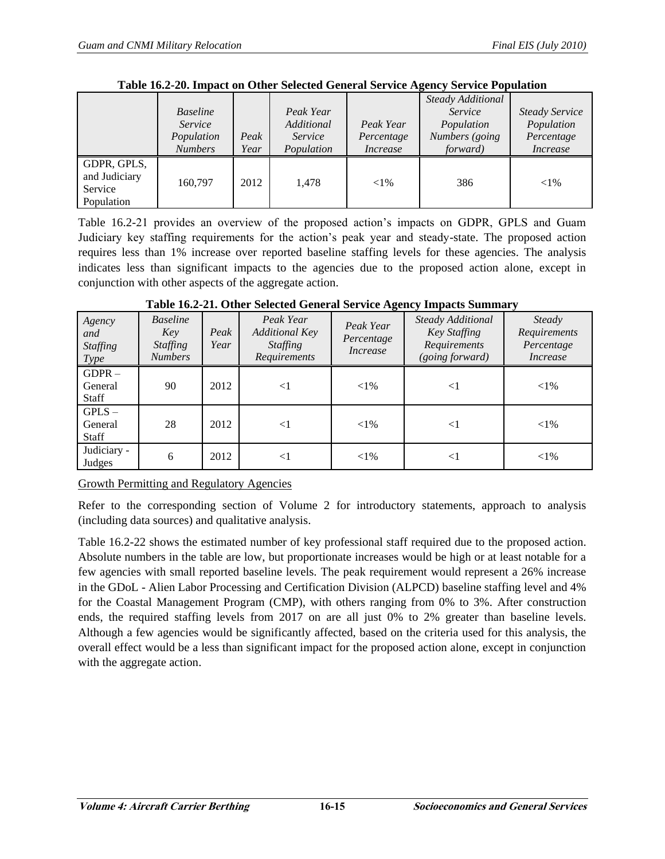|               |                 |      |            |                 | <b>Steady Additional</b> |                       |
|---------------|-----------------|------|------------|-----------------|--------------------------|-----------------------|
|               | <b>Baseline</b> |      | Peak Year  |                 | Service                  | <b>Steady Service</b> |
|               | Service         |      | Additional | Peak Year       | Population               | Population            |
|               | Population      | Peak | Service    | Percentage      | Numbers (going           | Percentage            |
|               | <b>Numbers</b>  | Year | Population | <i>Increase</i> | <i>forward</i> )         | Increase              |
| GDPR, GPLS,   |                 |      |            |                 |                          |                       |
| and Judiciary | 160.797         | 2012 | 1.478      | ${<}1\%$        | 386                      | ${<}1\%$              |
| Service       |                 |      |            |                 |                          |                       |
| Population    |                 |      |            |                 |                          |                       |

**Table 16.2-20. Impact on Other Selected General Service Agency Service Population** 

Table 16.2-21 provides an overview of the proposed action's impacts on GDPR, GPLS and Guam Judiciary key staffing requirements for the action's peak year and steady-state. The proposed action requires less than 1% increase over reported baseline staffing levels for these agencies. The analysis indicates less than significant impacts to the agencies due to the proposed action alone, except in conjunction with other aspects of the aggregate action.

| Agency<br>and<br><b>Staffing</b><br><i>Type</i> | <b>Baseline</b><br>Key<br><i>Staffing</i><br><b>Numbers</b> | Peak<br>Year | Peak Year<br><b>Additional Key</b><br><b>Staffing</b><br>Requirements | Peak Year<br>Percentage<br><i>Increase</i> | Steady Additional<br>Key Staffing<br>Requirements<br>(going forward) | Steady<br>Requirements<br>Percentage<br>Increase |
|-------------------------------------------------|-------------------------------------------------------------|--------------|-----------------------------------------------------------------------|--------------------------------------------|----------------------------------------------------------------------|--------------------------------------------------|
| $GDPR -$<br>General<br><b>Staff</b>             | 90                                                          | 2012         | $<$ 1                                                                 | ${<}1\%$                                   | ${<}1$                                                               | ${<}1\%$                                         |
| $GPLS -$<br>General<br><b>Staff</b>             | 28                                                          | 2012         | $\leq$ 1                                                              | ${<}1\%$                                   | $<$ 1                                                                | ${<}1\%$                                         |
| Judiciary -<br>Judges                           | 6                                                           | 2012         | $<$ 1                                                                 | ${<}1\%$                                   | $\leq$                                                               | ${<}1\%$                                         |

**Table 16.2-21. Other Selected General Service Agency Impacts Summary** 

Growth Permitting and Regulatory Agencies

Refer to the corresponding section of Volume 2 for introductory statements, approach to analysis (including data sources) and qualitative analysis.

Table 16.2-22 shows the estimated number of key professional staff required due to the proposed action. Absolute numbers in the table are low, but proportionate increases would be high or at least notable for a few agencies with small reported baseline levels. The peak requirement would represent a 26% increase in the GDoL - Alien Labor Processing and Certification Division (ALPCD) baseline staffing level and 4% for the Coastal Management Program (CMP), with others ranging from 0% to 3%. After construction ends, the required staffing levels from 2017 on are all just 0% to 2% greater than baseline levels. Although a few agencies would be significantly affected, based on the criteria used for this analysis, the overall effect would be a less than significant impact for the proposed action alone, except in conjunction with the aggregate action.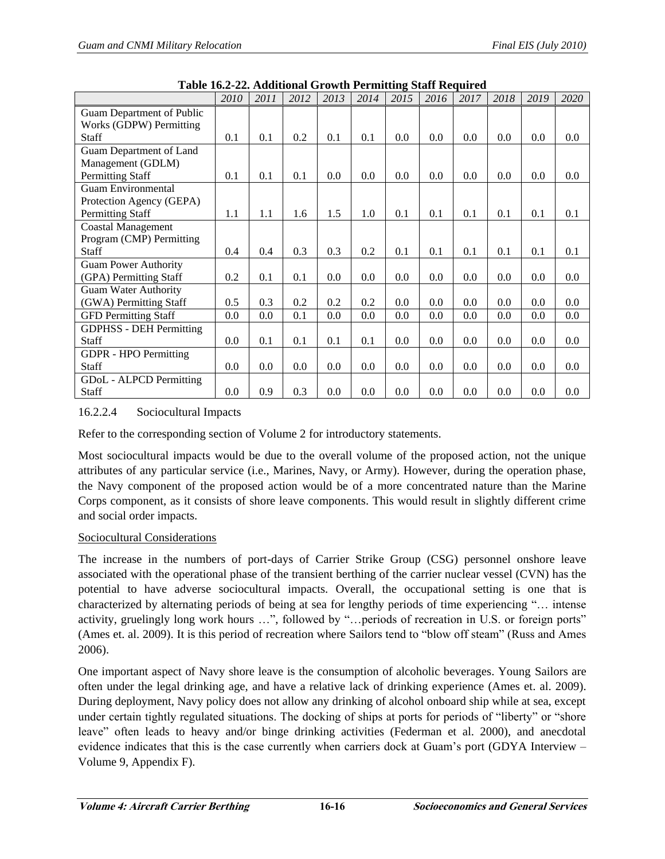|                                | 2010    | 2011 | 2012 | 2013 | 2014 | 2015 | 2016    | 2017 | 2018 | 2019 | 2020 |
|--------------------------------|---------|------|------|------|------|------|---------|------|------|------|------|
| Guam Department of Public      |         |      |      |      |      |      |         |      |      |      |      |
| Works (GDPW) Permitting        |         |      |      |      |      |      |         |      |      |      |      |
| <b>Staff</b>                   | 0.1     | 0.1  | 0.2  | 0.1  | 0.1  | 0.0  | $0.0\,$ | 0.0  | 0.0  | 0.0  | 0.0  |
| Guam Department of Land        |         |      |      |      |      |      |         |      |      |      |      |
| Management (GDLM)              |         |      |      |      |      |      |         |      |      |      |      |
| <b>Permitting Staff</b>        | 0.1     | 0.1  | 0.1  | 0.0  | 0.0  | 0.0  | 0.0     | 0.0  | 0.0  | 0.0  | 0.0  |
| <b>Guam Environmental</b>      |         |      |      |      |      |      |         |      |      |      |      |
| Protection Agency (GEPA)       |         |      |      |      |      |      |         |      |      |      |      |
| <b>Permitting Staff</b>        | 1.1     | 1.1  | 1.6  | 1.5  | 1.0  | 0.1  | 0.1     | 0.1  | 0.1  | 0.1  | 0.1  |
| <b>Coastal Management</b>      |         |      |      |      |      |      |         |      |      |      |      |
| Program (CMP) Permitting       |         |      |      |      |      |      |         |      |      |      |      |
| Staff                          | 0.4     | 0.4  | 0.3  | 0.3  | 0.2  | 0.1  | 0.1     | 0.1  | 0.1  | 0.1  | 0.1  |
| <b>Guam Power Authority</b>    |         |      |      |      |      |      |         |      |      |      |      |
| (GPA) Permitting Staff         | 0.2     | 0.1  | 0.1  | 0.0  | 0.0  | 0.0  | 0.0     | 0.0  | 0.0  | 0.0  | 0.0  |
| <b>Guam Water Authority</b>    |         |      |      |      |      |      |         |      |      |      |      |
| (GWA) Permitting Staff         | 0.5     | 0.3  | 0.2  | 0.2  | 0.2  | 0.0  | 0.0     | 0.0  | 0.0  | 0.0  | 0.0  |
| <b>GFD Permitting Staff</b>    | 0.0     | 0.0  | 0.1  | 0.0  | 0.0  | 0.0  | 0.0     | 0.0  | 0.0  | 0.0  | 0.0  |
| <b>GDPHSS - DEH Permitting</b> |         |      |      |      |      |      |         |      |      |      |      |
| <b>Staff</b>                   | 0.0     | 0.1  | 0.1  | 0.1  | 0.1  | 0.0  | 0.0     | 0.0  | 0.0  | 0.0  | 0.0  |
| <b>GDPR</b> - HPO Permitting   |         |      |      |      |      |      |         |      |      |      |      |
| <b>Staff</b>                   | $0.0\,$ | 0.0  | 0.0  | 0.0  | 0.0  | 0.0  | 0.0     | 0.0  | 0.0  | 0.0  | 0.0  |
| GDoL - ALPCD Permitting        |         |      |      |      |      |      |         |      |      |      |      |
| Staff                          | 0.0     | 0.9  | 0.3  | 0.0  | 0.0  | 0.0  | 0.0     | 0.0  | 0.0  | 0.0  | 0.0  |

**Table 16.2-22. Additional Growth Permitting Staff Required** 

# 16.2.2.4 Sociocultural Impacts

Refer to the corresponding section of Volume 2 for introductory statements.

Most sociocultural impacts would be due to the overall volume of the proposed action, not the unique attributes of any particular service (i.e., Marines, Navy, or Army). However, during the operation phase, the Navy component of the proposed action would be of a more concentrated nature than the Marine Corps component, as it consists of shore leave components. This would result in slightly different crime and social order impacts.

#### Sociocultural Considerations

The increase in the numbers of port-days of Carrier Strike Group (CSG) personnel onshore leave associated with the operational phase of the transient berthing of the carrier nuclear vessel (CVN) has the potential to have adverse sociocultural impacts. Overall, the occupational setting is one that is characterized by alternating periods of being at sea for lengthy periods of time experiencing ―… intense activity, gruelingly long work hours ...", followed by "... periods of recreation in U.S. or foreign ports" (Ames et. al. 2009). It is this period of recreation where Sailors tend to "blow off steam" (Russ and Ames 2006).

One important aspect of Navy shore leave is the consumption of alcoholic beverages. Young Sailors are often under the legal drinking age, and have a relative lack of drinking experience (Ames et. al. 2009). During deployment, Navy policy does not allow any drinking of alcohol onboard ship while at sea, except under certain tightly regulated situations. The docking of ships at ports for periods of "liberty" or "shore" leave" often leads to heavy and/or binge drinking activities (Federman et al. 2000), and anecdotal evidence indicates that this is the case currently when carriers dock at Guam's port (GDYA Interview – Volume 9, Appendix F).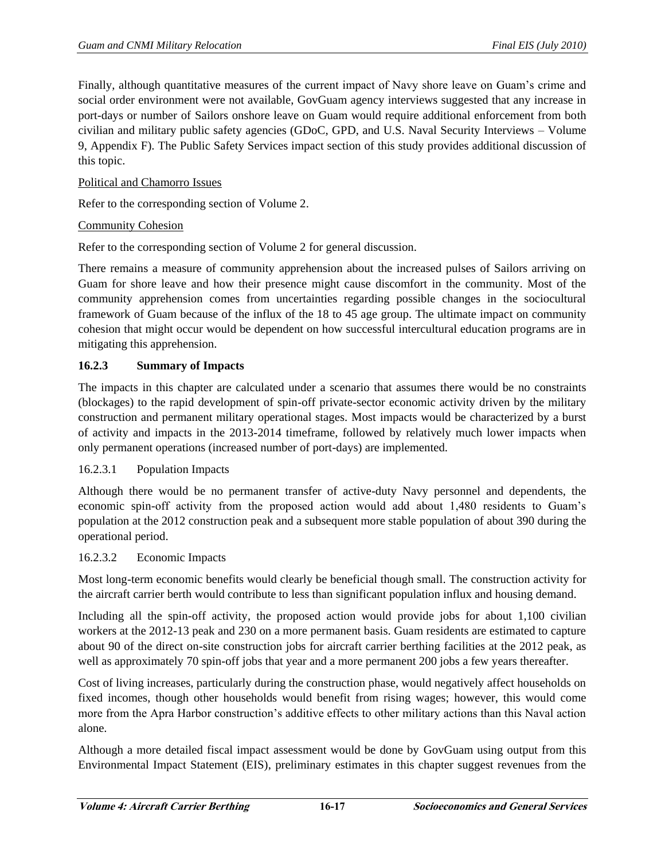Finally, although quantitative measures of the current impact of Navy shore leave on Guam's crime and social order environment were not available, GovGuam agency interviews suggested that any increase in port-days or number of Sailors onshore leave on Guam would require additional enforcement from both civilian and military public safety agencies (GDoC, GPD, and U.S. Naval Security Interviews – Volume 9, Appendix F). The Public Safety Services impact section of this study provides additional discussion of this topic.

# Political and Chamorro Issues

Refer to the corresponding section of Volume 2.

# Community Cohesion

Refer to the corresponding section of Volume 2 for general discussion.

There remains a measure of community apprehension about the increased pulses of Sailors arriving on Guam for shore leave and how their presence might cause discomfort in the community. Most of the community apprehension comes from uncertainties regarding possible changes in the sociocultural framework of Guam because of the influx of the 18 to 45 age group. The ultimate impact on community cohesion that might occur would be dependent on how successful intercultural education programs are in mitigating this apprehension.

# **16.2.3 Summary of Impacts**

The impacts in this chapter are calculated under a scenario that assumes there would be no constraints (blockages) to the rapid development of spin-off private-sector economic activity driven by the military construction and permanent military operational stages. Most impacts would be characterized by a burst of activity and impacts in the 2013-2014 timeframe, followed by relatively much lower impacts when only permanent operations (increased number of port-days) are implemented.

# 16.2.3.1 Population Impacts

Although there would be no permanent transfer of active-duty Navy personnel and dependents, the economic spin-off activity from the proposed action would add about 1,480 residents to Guam's population at the 2012 construction peak and a subsequent more stable population of about 390 during the operational period.

# 16.2.3.2 Economic Impacts

Most long-term economic benefits would clearly be beneficial though small. The construction activity for the aircraft carrier berth would contribute to less than significant population influx and housing demand.

Including all the spin-off activity, the proposed action would provide jobs for about 1,100 civilian workers at the 2012-13 peak and 230 on a more permanent basis. Guam residents are estimated to capture about 90 of the direct on-site construction jobs for aircraft carrier berthing facilities at the 2012 peak, as well as approximately 70 spin-off jobs that year and a more permanent 200 jobs a few years thereafter.

Cost of living increases, particularly during the construction phase, would negatively affect households on fixed incomes, though other households would benefit from rising wages; however, this would come more from the Apra Harbor construction's additive effects to other military actions than this Naval action alone.

Although a more detailed fiscal impact assessment would be done by GovGuam using output from this Environmental Impact Statement (EIS), preliminary estimates in this chapter suggest revenues from the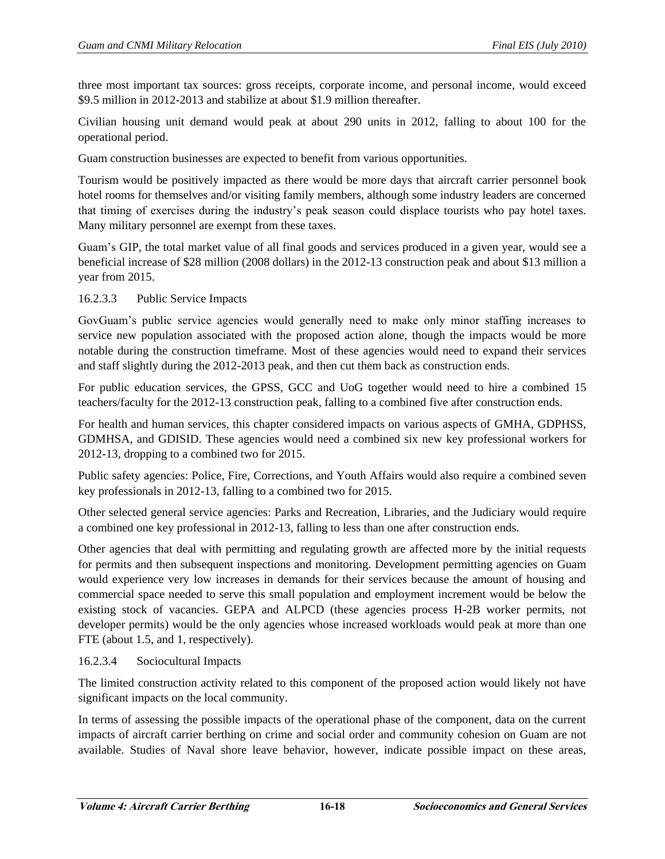three most important tax sources: gross receipts, corporate income, and personal income, would exceed \$9.5 million in 2012-2013 and stabilize at about \$1.9 million thereafter.

Civilian housing unit demand would peak at about 290 units in 2012, falling to about 100 for the operational period.

Guam construction businesses are expected to benefit from various opportunities.

Tourism would be positively impacted as there would be more days that aircraft carrier personnel book hotel rooms for themselves and/or visiting family members, although some industry leaders are concerned that timing of exercises during the industry's peak season could displace tourists who pay hotel taxes. Many military personnel are exempt from these taxes.

Guam's GIP, the total [market value](http://www.investorwords.com/2994/market_value.html) of all final [goods](http://www.investorwords.com/2209/goods.html) and [services](http://www.investorwords.com/6664/service.html) produced in a given year, would see a beneficial increase of \$28 million (2008 dollars) in the 2012-13 construction peak and about \$13 million a year from 2015.

#### 16.2.3.3 Public Service Impacts

GovGuam's public service agencies would generally need to make only minor staffing increases to service new population associated with the proposed action alone, though the impacts would be more notable during the construction timeframe. Most of these agencies would need to expand their services and staff slightly during the 2012-2013 peak, and then cut them back as construction ends.

For public education services, the GPSS, GCC and UoG together would need to hire a combined 15 teachers/faculty for the 2012-13 construction peak, falling to a combined five after construction ends.

For health and human services, this chapter considered impacts on various aspects of GMHA, GDPHSS, GDMHSA, and GDISID. These agencies would need a combined six new key professional workers for 2012-13, dropping to a combined two for 2015.

Public safety agencies: Police, Fire, Corrections, and Youth Affairs would also require a combined seven key professionals in 2012-13, falling to a combined two for 2015.

Other selected general service agencies: Parks and Recreation, Libraries, and the Judiciary would require a combined one key professional in 2012-13, falling to less than one after construction ends.

Other agencies that deal with permitting and regulating growth are affected more by the initial requests for permits and then subsequent inspections and monitoring. Development permitting agencies on Guam would experience very low increases in demands for their services because the amount of housing and commercial space needed to serve this small population and employment increment would be below the existing stock of vacancies. GEPA and ALPCD (these agencies process H-2B worker permits, not developer permits) would be the only agencies whose increased workloads would peak at more than one FTE (about 1.5, and 1, respectively).

# 16.2.3.4 Sociocultural Impacts

The limited construction activity related to this component of the proposed action would likely not have significant impacts on the local community.

In terms of assessing the possible impacts of the operational phase of the component, data on the current impacts of aircraft carrier berthing on crime and social order and community cohesion on Guam are not available. Studies of Naval shore leave behavior, however, indicate possible impact on these areas,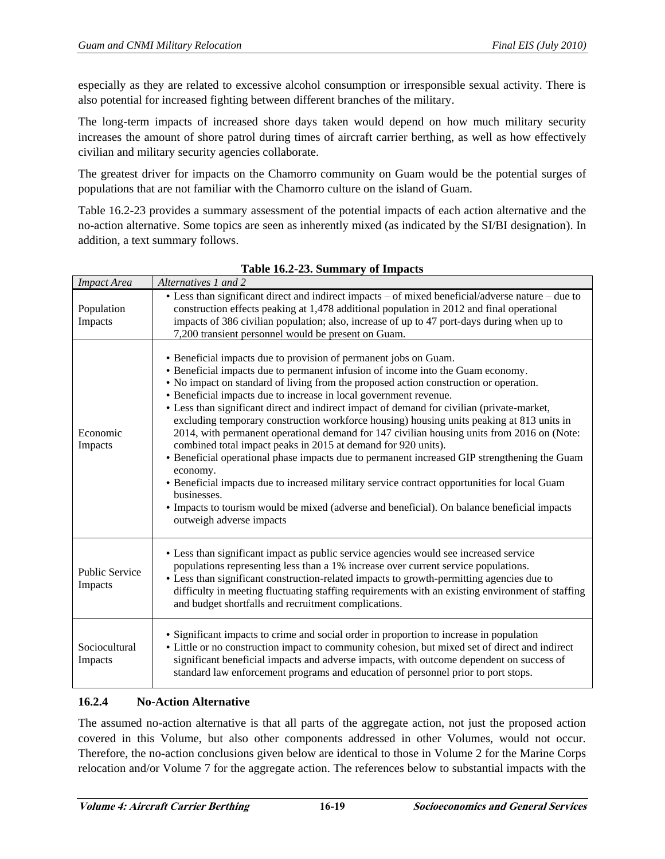especially as they are related to excessive alcohol consumption or irresponsible sexual activity. There is also potential for increased fighting between different branches of the military.

The long-term impacts of increased shore days taken would depend on how much military security increases the amount of shore patrol during times of aircraft carrier berthing, as well as how effectively civilian and military security agencies collaborate.

The greatest driver for impacts on the Chamorro community on Guam would be the potential surges of populations that are not familiar with the Chamorro culture on the island of Guam.

Table 16.2-23 provides a summary assessment of the potential impacts of each action alternative and the no-action alternative. Some topics are seen as inherently mixed (as indicated by the SI/BI designation). In addition, a text summary follows.

| <b>Impact Area</b>               | Alternatives 1 and 2                                                                                                                                                                                                                                                                                                                                                                                                                                                                                                                                                                                                                                                                                                                                                                                                                                                                                                                                                                                                              |
|----------------------------------|-----------------------------------------------------------------------------------------------------------------------------------------------------------------------------------------------------------------------------------------------------------------------------------------------------------------------------------------------------------------------------------------------------------------------------------------------------------------------------------------------------------------------------------------------------------------------------------------------------------------------------------------------------------------------------------------------------------------------------------------------------------------------------------------------------------------------------------------------------------------------------------------------------------------------------------------------------------------------------------------------------------------------------------|
| Population<br>Impacts            | • Less than significant direct and indirect impacts – of mixed beneficial/adverse nature – due to<br>construction effects peaking at 1,478 additional population in 2012 and final operational<br>impacts of 386 civilian population; also, increase of up to 47 port-days during when up to<br>7,200 transient personnel would be present on Guam.                                                                                                                                                                                                                                                                                                                                                                                                                                                                                                                                                                                                                                                                               |
| Economic<br>Impacts              | • Beneficial impacts due to provision of permanent jobs on Guam.<br>• Beneficial impacts due to permanent infusion of income into the Guam economy.<br>• No impact on standard of living from the proposed action construction or operation.<br>• Beneficial impacts due to increase in local government revenue.<br>• Less than significant direct and indirect impact of demand for civilian (private-market,<br>excluding temporary construction workforce housing) housing units peaking at 813 units in<br>2014, with permanent operational demand for 147 civilian housing units from 2016 on (Note:<br>combined total impact peaks in 2015 at demand for 920 units).<br>• Beneficial operational phase impacts due to permanent increased GIP strengthening the Guam<br>economy.<br>• Beneficial impacts due to increased military service contract opportunities for local Guam<br>businesses.<br>• Impacts to tourism would be mixed (adverse and beneficial). On balance beneficial impacts<br>outweigh adverse impacts |
| <b>Public Service</b><br>Impacts | • Less than significant impact as public service agencies would see increased service<br>populations representing less than a 1% increase over current service populations.<br>• Less than significant construction-related impacts to growth-permitting agencies due to<br>difficulty in meeting fluctuating staffing requirements with an existing environment of staffing<br>and budget shortfalls and recruitment complications.                                                                                                                                                                                                                                                                                                                                                                                                                                                                                                                                                                                              |
| Sociocultural<br>Impacts         | • Significant impacts to crime and social order in proportion to increase in population<br>• Little or no construction impact to community cohesion, but mixed set of direct and indirect<br>significant beneficial impacts and adverse impacts, with outcome dependent on success of<br>standard law enforcement programs and education of personnel prior to port stops.                                                                                                                                                                                                                                                                                                                                                                                                                                                                                                                                                                                                                                                        |

**Table 16.2-23. Summary of Impacts**

# **16.2.4 No-Action Alternative**

The assumed no-action alternative is that all parts of the aggregate action, not just the proposed action covered in this Volume, but also other components addressed in other Volumes, would not occur. Therefore, the no-action conclusions given below are identical to those in Volume 2 for the Marine Corps relocation and/or Volume 7 for the aggregate action. The references below to substantial impacts with the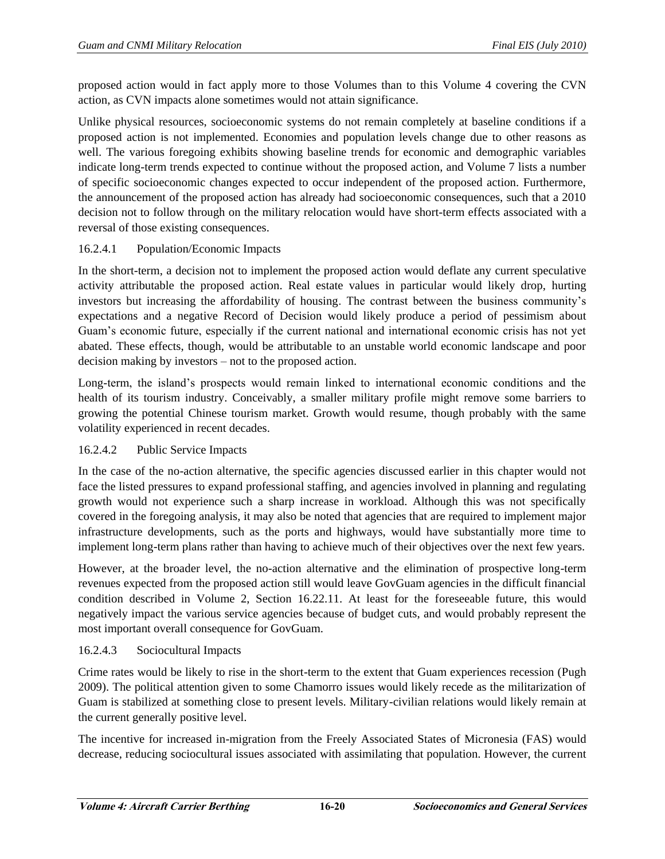proposed action would in fact apply more to those Volumes than to this Volume 4 covering the CVN action, as CVN impacts alone sometimes would not attain significance.

Unlike physical resources, socioeconomic systems do not remain completely at baseline conditions if a proposed action is not implemented. Economies and population levels change due to other reasons as well. The various foregoing exhibits showing baseline trends for economic and demographic variables indicate long-term trends expected to continue without the proposed action, and Volume 7 lists a number of specific socioeconomic changes expected to occur independent of the proposed action. Furthermore, the announcement of the proposed action has already had socioeconomic consequences, such that a 2010 decision not to follow through on the military relocation would have short-term effects associated with a reversal of those existing consequences.

# 16.2.4.1 Population/Economic Impacts

In the short-term, a decision not to implement the proposed action would deflate any current speculative activity attributable the proposed action. Real estate values in particular would likely drop, hurting investors but increasing the affordability of housing. The contrast between the business community's expectations and a negative Record of Decision would likely produce a period of pessimism about Guam's economic future, especially if the current national and international economic crisis has not yet abated. These effects, though, would be attributable to an unstable world economic landscape and poor decision making by investors – not to the proposed action.

Long-term, the island's prospects would remain linked to international economic conditions and the health of its tourism industry. Conceivably, a smaller military profile might remove some barriers to growing the potential Chinese tourism market. Growth would resume, though probably with the same volatility experienced in recent decades.

# 16.2.4.2 Public Service Impacts

In the case of the no-action alternative, the specific agencies discussed earlier in this chapter would not face the listed pressures to expand professional staffing, and agencies involved in planning and regulating growth would not experience such a sharp increase in workload. Although this was not specifically covered in the foregoing analysis, it may also be noted that agencies that are required to implement major infrastructure developments, such as the ports and highways, would have substantially more time to implement long-term plans rather than having to achieve much of their objectives over the next few years.

However, at the broader level, the no-action alternative and the elimination of prospective long-term revenues expected from the proposed action still would leave GovGuam agencies in the difficult financial condition described in Volume 2, Section 16.22.11. At least for the foreseeable future, this would negatively impact the various service agencies because of budget cuts, and would probably represent the most important overall consequence for GovGuam.

# 16.2.4.3 Sociocultural Impacts

Crime rates would be likely to rise in the short-term to the extent that Guam experiences recession (Pugh 2009). The political attention given to some Chamorro issues would likely recede as the militarization of Guam is stabilized at something close to present levels. Military-civilian relations would likely remain at the current generally positive level.

The incentive for increased in-migration from the Freely Associated States of Micronesia (FAS) would decrease, reducing sociocultural issues associated with assimilating that population. However, the current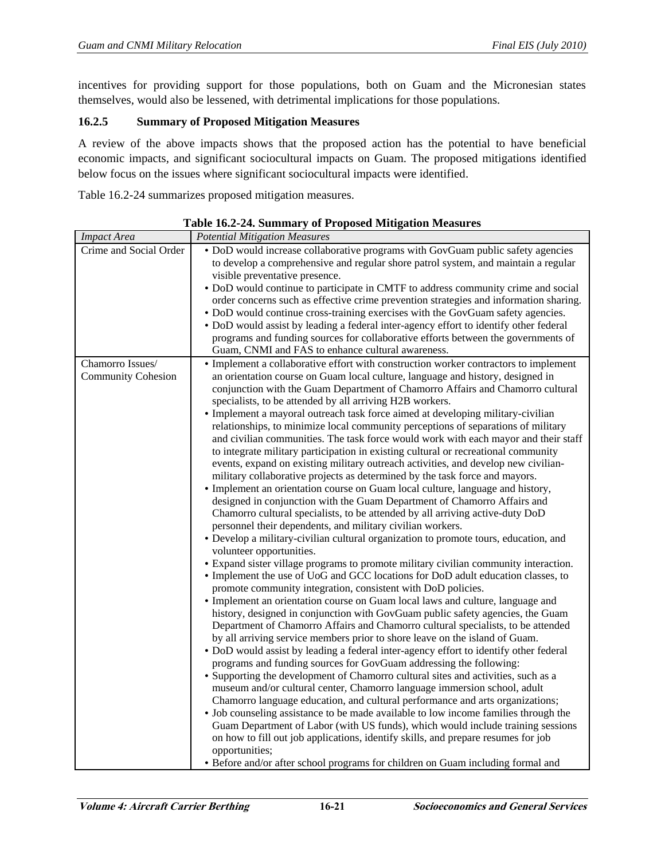incentives for providing support for those populations, both on Guam and the Micronesian states themselves, would also be lessened, with detrimental implications for those populations.

# **16.2.5 Summary of Proposed Mitigation Measures**

A review of the above impacts shows that the proposed action has the potential to have beneficial economic impacts, and significant sociocultural impacts on Guam. The proposed mitigations identified below focus on the issues where significant sociocultural impacts were identified.

Table 16.2-24 summarizes proposed mitigation measures.

| <b>Impact Area</b>        | <b>Potential Mitigation Measures</b>                                                                                                                                  |
|---------------------------|-----------------------------------------------------------------------------------------------------------------------------------------------------------------------|
| Crime and Social Order    | • DoD would increase collaborative programs with GovGuam public safety agencies<br>to develop a comprehensive and regular shore patrol system, and maintain a regular |
|                           | visible preventative presence.                                                                                                                                        |
|                           | • DoD would continue to participate in CMTF to address community crime and social                                                                                     |
|                           | order concerns such as effective crime prevention strategies and information sharing.                                                                                 |
|                           | • DoD would continue cross-training exercises with the GovGuam safety agencies.                                                                                       |
|                           | • DoD would assist by leading a federal inter-agency effort to identify other federal                                                                                 |
|                           | programs and funding sources for collaborative efforts between the governments of                                                                                     |
|                           | Guam, CNMI and FAS to enhance cultural awareness.                                                                                                                     |
| Chamorro Issues/          | • Implement a collaborative effort with construction worker contractors to implement                                                                                  |
| <b>Community Cohesion</b> | an orientation course on Guam local culture, language and history, designed in                                                                                        |
|                           | conjunction with the Guam Department of Chamorro Affairs and Chamorro cultural<br>specialists, to be attended by all arriving H2B workers.                            |
|                           | • Implement a mayoral outreach task force aimed at developing military-civilian                                                                                       |
|                           | relationships, to minimize local community perceptions of separations of military                                                                                     |
|                           | and civilian communities. The task force would work with each mayor and their staff                                                                                   |
|                           | to integrate military participation in existing cultural or recreational community                                                                                    |
|                           | events, expand on existing military outreach activities, and develop new civilian-                                                                                    |
|                           | military collaborative projects as determined by the task force and mayors.                                                                                           |
|                           | • Implement an orientation course on Guam local culture, language and history,                                                                                        |
|                           | designed in conjunction with the Guam Department of Chamorro Affairs and                                                                                              |
|                           | Chamorro cultural specialists, to be attended by all arriving active-duty DoD                                                                                         |
|                           | personnel their dependents, and military civilian workers.                                                                                                            |
|                           | • Develop a military-civilian cultural organization to promote tours, education, and<br>volunteer opportunities.                                                      |
|                           | • Expand sister village programs to promote military civilian community interaction.                                                                                  |
|                           | • Implement the use of UoG and GCC locations for DoD adult education classes, to                                                                                      |
|                           | promote community integration, consistent with DoD policies.                                                                                                          |
|                           | • Implement an orientation course on Guam local laws and culture, language and                                                                                        |
|                           | history, designed in conjunction with GovGuam public safety agencies, the Guam                                                                                        |
|                           | Department of Chamorro Affairs and Chamorro cultural specialists, to be attended                                                                                      |
|                           | by all arriving service members prior to shore leave on the island of Guam.                                                                                           |
|                           | • DoD would assist by leading a federal inter-agency effort to identify other federal                                                                                 |
|                           | programs and funding sources for GovGuam addressing the following:                                                                                                    |
|                           | • Supporting the development of Chamorro cultural sites and activities, such as a                                                                                     |
|                           | museum and/or cultural center, Chamorro language immersion school, adult                                                                                              |
|                           | Chamorro language education, and cultural performance and arts organizations;<br>• Job counseling assistance to be made available to low income families through the  |
|                           | Guam Department of Labor (with US funds), which would include training sessions                                                                                       |
|                           | on how to fill out job applications, identify skills, and prepare resumes for job                                                                                     |
|                           | opportunities;                                                                                                                                                        |
|                           | • Before and/or after school programs for children on Guam including formal and                                                                                       |

**Table 16.2-24. Summary of Proposed Mitigation Measures**